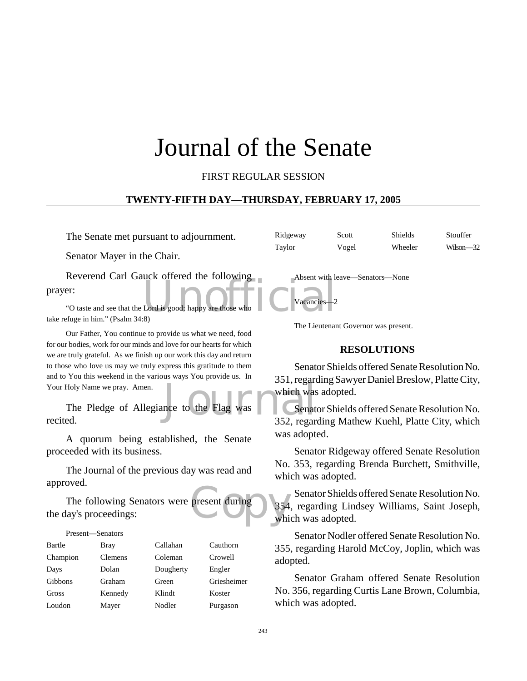# Journal of the Senate

FIRST REGULAR SESSION

#### **TWENTY-FIFTH DAY—THURSDAY, FEBRUARY 17, 2005**

The Senate met pursuant to adjournment.

Senator Mayer in the Chair.

Lord is good; happy are those who Reverend Carl Gauck offered the following prayer:

"O taste and see that the Lord is good; happy are those who take refuge in him." (Psalm 34:8)

Our Father, You continue to provide us what we need, food for our bodies, work for our minds and love for our hearts for which we are truly grateful. As we finish up our work this day and return to those who love us may we truly express this gratitude to them and to You this weekend in the various ways You provide us. In Your Holy Name we pray. Amen.

space to the Flag was which was<br>according to the Flag was Senate The Pledge of Allegiance to the Flag was recited.

A quorum being established, the Senate proceeded with its business.

The Journal of the previous day was read and approved.

present during<br>
whi The following Senators were present during the day's proceedings:

#### Present—Senators

| Bartle   | Bray           | Callahan  | Cauthorn    |
|----------|----------------|-----------|-------------|
| Champion | <b>Clemens</b> | Coleman   | Crowell     |
| Days     | Dolan          | Dougherty | Engler      |
| Gibbons  | Graham         | Green     | Griesheimer |
| Gross    | Kennedy        | Klindt    | Koster      |
| Loudon   | Mayer          | Nodler    | Purgason    |

Ridgeway Scott Shields Stouffer Taylor Vogel Wheeler Wilson—32

Absent with leave—Senators—None

Vacancies-

The Lieutenant Governor was present.

#### **RESOLUTIONS**

Senator Shields offered Senate Resolution No. 351, regarding Sawyer Daniel Breslow, Platte City, which was adopted.

Senator Shields offered Senate Resolution No. 352, regarding Mathew Kuehl, Platte City, which was adopted.

Senator Ridgeway offered Senate Resolution No. 353, regarding Brenda Burchett, Smithville, which was adopted.

Senator Shields offered Senate Resolution No. 354, regarding Lindsey Williams, Saint Joseph, which was adopted.

Senator Nodler offered Senate Resolution No. 355, regarding Harold McCoy, Joplin, which was adopted.

Senator Graham offered Senate Resolution No. 356, regarding Curtis Lane Brown, Columbia, which was adopted.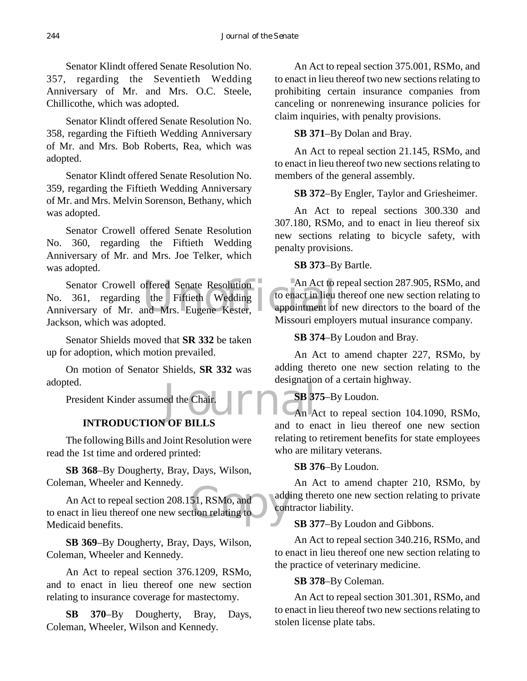Senator Klindt offered Senate Resolution No. 357, regarding the Seventieth Wedding Anniversary of Mr. and Mrs. O.C. Steele, Chillicothe, which was adopted.

Senator Klindt offered Senate Resolution No. 358, regarding the Fiftieth Wedding Anniversary of Mr. and Mrs. Bob Roberts, Rea, which was adopted.

Senator Klindt offered Senate Resolution No. 359, regarding the Fiftieth Wedding Anniversary of Mr. and Mrs. Melvin Sorenson, Bethany, which was adopted.

Senator Crowell offered Senate Resolution No. 360, regarding the Fiftieth Wedding Anniversary of Mr. and Mrs. Joe Telker, which was adopted.

Senator Crowell offered Senate Resolution<br>
No. 361, regarding the Fiftieth Wedding<br>
Anniversary of Mr. and Mrs. Eugene Kester, Missouri ample Senator Crowell offered Senate Resolution C No. 361, regarding the Fiftieth Wedding Jackson, which was adopted.

Senator Shields moved that **SR 332** be taken up for adoption, which motion prevailed.

On motion of Senator Shields, **SR 332** was adopted.

President Kinder assumed the Chair.

# **INTRODUCTION OF BILLS**

The following Bills and Joint Resolution were read the 1st time and ordered printed:

**SB 368**–By Dougherty, Bray, Days, Wilson, Coleman, Wheeler and Kennedy.

51, RSMo, and add<br>tion relating to con An Act to repeal section 208.151, RSMo, and to enact in lieu thereof one new section relating to Medicaid benefits.

**SB 369**–By Dougherty, Bray, Days, Wilson, Coleman, Wheeler and Kennedy.

An Act to repeal section 376.1209, RSMo, and to enact in lieu thereof one new section relating to insurance coverage for mastectomy.

**SB 370**–By Dougherty, Bray, Days, Coleman, Wheeler, Wilson and Kennedy.

An Act to repeal section 375.001, RSMo, and to enact in lieu thereof two new sections relating to prohibiting certain insurance companies from canceling or nonrenewing insurance policies for claim inquiries, with penalty provisions.

# **SB 371**–By Dolan and Bray.

An Act to repeal section 21.145, RSMo, and to enact in lieu thereof two new sections relating to members of the general assembly.

**SB 372**–By Engler, Taylor and Griesheimer.

An Act to repeal sections 300.330 and 307.180, RSMo, and to enact in lieu thereof six new sections relating to bicycle safety, with penalty provisions.

# **SB 373**–By Bartle.

An Act to repeal section 287.905, RSMo, and to enact in lieu thereof one new section relating to appointment of new directors to the board of the Missouri employers mutual insurance company.

# **SB 374**–By Loudon and Bray.

An Act to amend chapter 227, RSMo, by adding thereto one new section relating to the designation of a certain highway.

# **SB 375**–By Loudon.

ed the Chair.<br>J OF BILLS An Act to repeal section 104.1090, RSMo, and to enact in lieu thereof one new section relating to retirement benefits for state employees who are military veterans.

**SB 376**–By Loudon.

An Act to amend chapter 210, RSMo, by adding thereto one new section relating to private contractor liability.

# **SB 377**–By Loudon and Gibbons.

An Act to repeal section 340.216, RSMo, and to enact in lieu thereof one new section relating to the practice of veterinary medicine.

## **SB 378**–By Coleman.

An Act to repeal section 301.301, RSMo, and to enact in lieu thereof two new sections relating to stolen license plate tabs.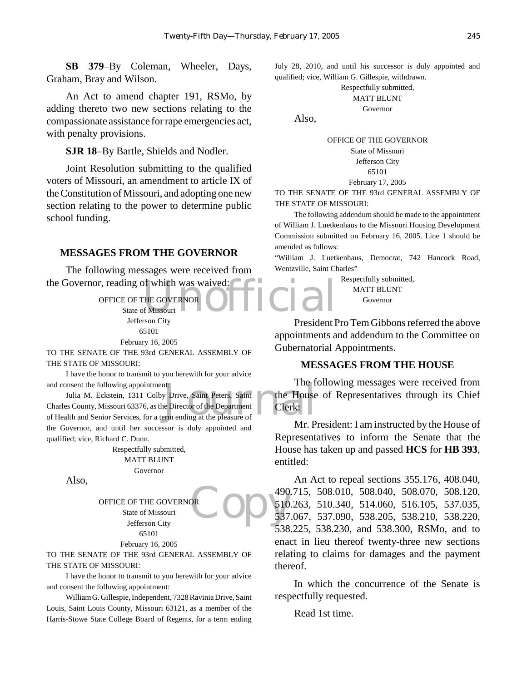**SB 379**–By Coleman, Wheeler, Days, Graham, Bray and Wilson.

An Act to amend chapter 191, RSMo, by adding thereto two new sections relating to the compassionate assistance for rape emergencies act, with penalty provisions.

**SJR 18**–By Bartle, Shields and Nodler.

Joint Resolution submitting to the qualified voters of Missouri, an amendment to article IX of the Constitution of Missouri, and adopting one new section relating to the power to determine public school funding.

#### **MESSAGES FROM THE GOVERNOR**

the Governor, reading of which was waived:<br>
OFFICE OF THE GOVERNOR<br>
State of Missouri The following messages were received from

OFFICE OF THE GOVERNOR State of Missouri -Jefferson City 65101 February 16, 2005

TO THE SENATE OF THE 93rd GENERAL ASSEMBLY OF THE STATE OF MISSOURI:

I have the honor to transmit to you herewith for your advice and consent the following appointment:

I ne T<br>
y Drive, Saint Peters, Saint<br>
e Director of the Department<br>
erm ending at the pleasure of Julia M. Eckstein, 1311 Colby Drive, Saint Peters, Saint Charles County, Missouri 63376, as the Director of the Department of Health and Senior Services, for a term ending at the pleasure of the Governor, and until her successor is duly appointed and qualified; vice, Richard C. Dunn.

> Respectfully submitted, MATT BLUNT Governor

Also,

OFFICE OF THE GOVERNOR State of Missouri Jefferson City 65101

February 16, 2005

TO THE SENATE OF THE 93rd GENERAL ASSEMBLY OF THE STATE OF MISSOURI:

I have the honor to transmit to you herewith for your advice and consent the following appointment:

William G. Gillespie, Independent, 7328 Ravinia Drive, Saint Louis, Saint Louis County, Missouri 63121, as a member of the Harris-Stowe State College Board of Regents, for a term ending

July 28, 2010, and until his successor is duly appointed and qualified; vice, William G. Gillespie, withdrawn.

#### Respectfully submitted,

MATT BLUNT

Governor

Also,

#### OFFICE OF THE GOVERNOR State of Missouri Jefferson City 65101 February 17, 2005

TO THE SENATE OF THE 93rd GENERAL ASSEMBLY OF THE STATE OF MISSOURI:

The following addendum should be made to the appointment of William J. Luetkenhaus to the Missouri Housing Development Commission submitted on February 16, 2005. Line 1 should be amended as follows:

"William J. Luetkenhaus, Democrat, 742 Hancock Road, Wentzville, Saint Charles"

> Respectfully submitted, MATT BLUNT Governor

President Pro Tem Gibbons referred the above appointments and addendum to the Committee on Gubernatorial Appointments.

### **MESSAGES FROM THE HOUSE**

The following messages were received from the House of Representatives through its Chief Clerk:

Mr. President: I am instructed by the House of Representatives to inform the Senate that the House has taken up and passed **HCS** for **HB 393**, entitled:

**PRODE** 510 An Act to repeal sections 355.176, 408.040, 490.715, 508.010, 508.040, 508.070, 508.120, 510.263, 510.340, 514.060, 516.105, 537.035, 537.067, 537.090, 538.205, 538.210, 538.220, 538.225, 538.230, and 538.300, RSMo, and to enact in lieu thereof twenty-three new sections relating to claims for damages and the payment thereof.

> In which the concurrence of the Senate is respectfully requested.

Read 1st time.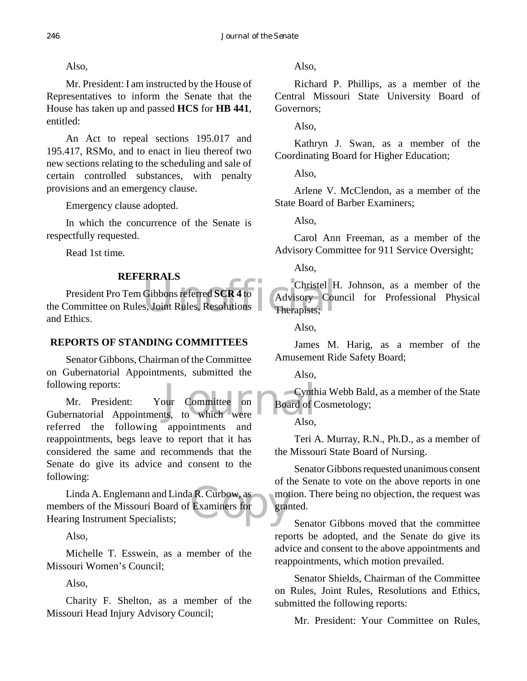Also,

Mr. President: I am instructed by the House of Representatives to inform the Senate that the House has taken up and passed **HCS** for **HB 441**, entitled:

An Act to repeal sections 195.017 and 195.417, RSMo, and to enact in lieu thereof two new sections relating to the scheduling and sale of certain controlled substances, with penalty provisions and an emergency clause.

Emergency clause adopted.

In which the concurrence of the Senate is respectfully requested.

Read 1st time.

# **REFERRALS**

Christel F<br>Gibbons referred SCR 4 to<br>S. Joint Rules, Resolutions Therapists; President Pro Tem Gibbons referred **SCR 4** to the Committee on Rules, Joint Rules, Resolutions and Ethics.

# **REPORTS OF STANDING COMMITTEES**

Senator Gibbons, Chairman of the Committee on Gubernatorial Appointments, submitted the following reports:

Following reports:<br>
Mr. President: Your Committee on Board of C<br>
Gubernatorial Appointments, to which were Also Mr. President: Your Committee on referred the following appointments and reappointments, begs leave to report that it has considered the same and recommends that the Senate do give its advice and consent to the following:

Linda A. Englemann and Linda R. Curbow, as mothers of the Missouri Board of Examiners for grand members of the Missouri Board of Examiners for Hearing Instrument Specialists;

Also,

Michelle T. Esswein, as a member of the Missouri Women's Council;

Also,

Charity F. Shelton, as a member of the Missouri Head Injury Advisory Council;

Also,

Richard P. Phillips, as a member of the Central Missouri State University Board of Governors;

Also,

Kathryn J. Swan, as a member of the Coordinating Board for Higher Education;

Also,

Arlene V. McClendon, as a member of the State Board of Barber Examiners;

Also,

Carol Ann Freeman, as a member of the Advisory Committee for 911 Service Oversight;

Also,

Christel H. Johnson, as a member of the Advisory Council for Professional Physical Therapists;

Also,

James M. Harig, as a member of the Amusement Ride Safety Board;

Also,

Cynthia Webb Bald, as a member of the State Board of Cosmetology;

Also,

Teri A. Murray, R.N., Ph.D., as a member of the Missouri State Board of Nursing.

Senator Gibbons requested unanimous consent of the Senate to vote on the above reports in one motion. There being no objection, the request was granted.

Senator Gibbons moved that the committee reports be adopted, and the Senate do give its advice and consent to the above appointments and reappointments, which motion prevailed.

Senator Shields, Chairman of the Committee on Rules, Joint Rules, Resolutions and Ethics, submitted the following reports:

Mr. President: Your Committee on Rules,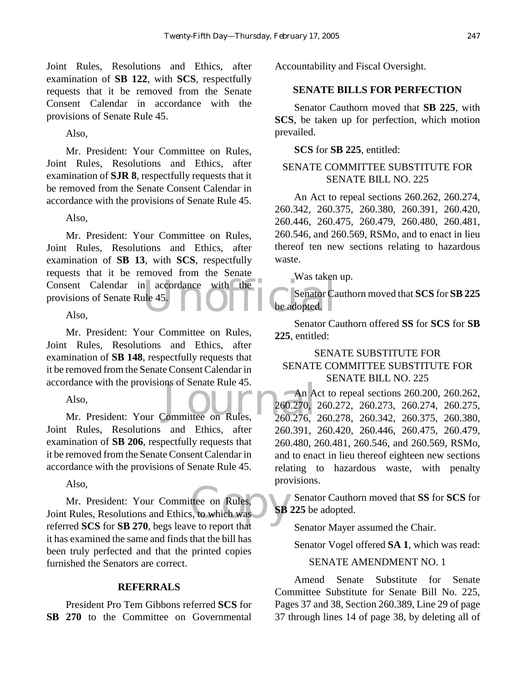Joint Rules, Resolutions and Ethics, after examination of **SB 122**, with **SCS**, respectfully requests that it be removed from the Senate Consent Calendar in accordance with the provisions of Senate Rule 45.

Also,

Mr. President: Your Committee on Rules, Joint Rules, Resolutions and Ethics, after examination of **SJR 8**, respectfully requests that it be removed from the Senate Consent Calendar in accordance with the provisions of Senate Rule 45.

Also,

Consent Calendar in accordance with the Was taken<br>provisions of Senate Rule 45.<br>Also, Mr. President: Your Committee on Rules, Joint Rules, Resolutions and Ethics, after examination of **SB 13**, with **SCS**, respectfully requests that it be removed from the Senate provisions of Senate Rule 45.

Also,

Mr. President: Your Committee on Rules, Joint Rules, Resolutions and Ethics, after examination of **SB 148**, respectfully requests that it be removed from the Senate Consent Calendar in accordance with the provisions of Senate Rule 45.

Also,

rdance with the provisions of Senate Rule 45.<br>Also, An A<br>Mr. President: Your Committee on Rules, 260.276, Joint Rules, Resolutions and Ethics, after examination of **SB 206**, respectfully requests that it be removed from the Senate Consent Calendar in accordance with the provisions of Senate Rule 45.

Also,

ttee on Rules,<br>s, to which was<br>et to report that Mr. President: Your Committee on Rules, Joint Rules, Resolutions and Ethics, to which was referred **SCS** for **SB 270**, begs leave to report that it has examined the same and finds that the bill has been truly perfected and that the printed copies furnished the Senators are correct.

### **REFERRALS**

President Pro Tem Gibbons referred **SCS** for **SB 270** to the Committee on Governmental Accountability and Fiscal Oversight.

## **SENATE BILLS FOR PERFECTION**

Senator Cauthorn moved that **SB 225**, with **SCS**, be taken up for perfection, which motion prevailed.

**SCS** for **SB 225**, entitled:

# SENATE COMMITTEE SUBSTITUTE FOR SENATE BILL NO. 225

An Act to repeal sections 260.262, 260.274, 260.342, 260.375, 260.380, 260.391, 260.420, 260.446, 260.475, 260.479, 260.480, 260.481, 260.546, and 260.569, RSMo, and to enact in lieu thereof ten new sections relating to hazardous waste.

Was taken up.

Senator Cauthorn moved that **SCS** for **SB 225** be adopted.

Senator Cauthorn offered **SS** for **SCS** for **SB 225**, entitled:

# SENATE SUBSTITUTE FOR SENATE COMMITTEE SUBSTITUTE FOR SENATE BILL NO. 225

An Act to repeal sections 260.200, 260.262, 260.270, 260.272, 260.273, 260.274, 260.275, 260.276, 260.278, 260.342, 260.375, 260.380, 260.391, 260.420, 260.446, 260.475, 260.479, 260.480, 260.481, 260.546, and 260.569, RSMo, and to enact in lieu thereof eighteen new sections relating to hazardous waste, with penalty provisions.

**Senator Cauthorn moved that SS for SCS** for **SB 225** be adopted.

Senator Mayer assumed the Chair.

Senator Vogel offered **SA 1**, which was read:

#### SENATE AMENDMENT NO. 1

Amend Senate Substitute for Senate Committee Substitute for Senate Bill No. 225, Pages 37 and 38, Section 260.389, Line 29 of page 37 through lines 14 of page 38, by deleting all of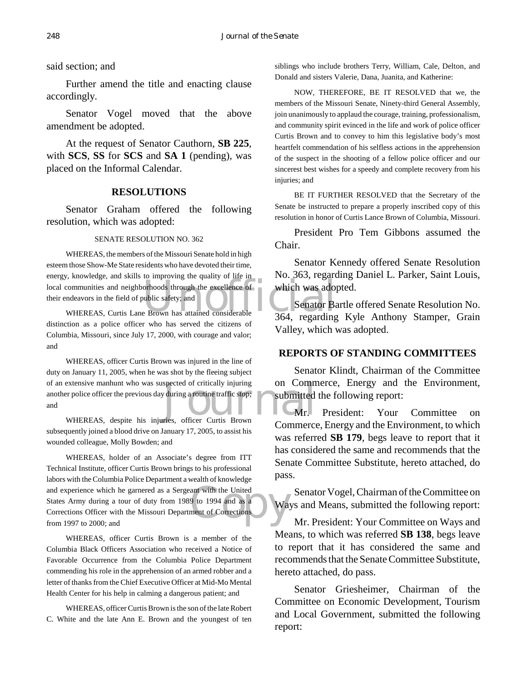#### said section; and

Further amend the title and enacting clause accordingly.

Senator Vogel moved that the above amendment be adopted.

At the request of Senator Cauthorn, **SB 225**, with **SCS**, **SS** for **SCS** and **SA 1** (pending), was placed on the Informal Calendar.

#### **RESOLUTIONS**

Senator Graham offered the following resolution, which was adopted:

#### SENATE RESOLUTION NO. 362

Senator Branch communities and neighborhoods through the excellence of<br>their endeavors in the field of public safety; and<br>WHEREAS, Curtis Lane Brown has attained considerable<br>364. regarding WHEREAS, the members of the Missouri Senate hold in high esteem those Show-Me State residents who have devoted their time, energy, knowledge, and skills to improving the quality of life in their endeavors in the field of public safety; and

WHEREAS, Curtis Lane Brown has attained considerable distinction as a police officer who has served the citizens of Columbia, Missouri, since July 17, 2000, with courage and valor; and

spected of critically injuring on Comm<br>
v during a routine traffic stop;<br>
ries, officer Curtis Brown WHEREAS, officer Curtis Brown was injured in the line of duty on January 11, 2005, when he was shot by the fleeing subject of an extensive manhunt who was suspected of critically injuring another police officer the previous day during a routine traffic stop; and

WHEREAS, despite his injuries, officer Curtis Brown subsequently joined a blood drive on January 17, 2005, to assist his wounded colleague, Molly Bowden; and

ant with the United<br>9 to 1994 and as a<br>ment of Corrections WHEREAS, holder of an Associate's degree from ITT Technical Institute, officer Curtis Brown brings to his professional labors with the Columbia Police Department a wealth of knowledge and experience which he garnered as a Sergeant with the United States Army during a tour of duty from 1989 to 1994 and as a Corrections Officer with the Missouri Department of Corrections from 1997 to 2000; and

WHEREAS, officer Curtis Brown is a member of the Columbia Black Officers Association who received a Notice of Favorable Occurrence from the Columbia Police Department commending his role in the apprehension of an armed robber and a letter of thanks from the Chief Executive Officer at Mid-Mo Mental Health Center for his help in calming a dangerous patient; and

WHEREAS, officer Curtis Brown is the son of the late Robert C. White and the late Ann E. Brown and the youngest of ten

siblings who include brothers Terry, William, Cale, Delton, and Donald and sisters Valerie, Dana, Juanita, and Katherine:

NOW, THEREFORE, BE IT RESOLVED that we, the members of the Missouri Senate, Ninety-third General Assembly, join unanimously to applaud the courage, training, professionalism, and community spirit evinced in the life and work of police officer Curtis Brown and to convey to him this legislative body's most heartfelt commendation of his selfless actions in the apprehension of the suspect in the shooting of a fellow police officer and our sincerest best wishes for a speedy and complete recovery from his injuries; and

BE IT FURTHER RESOLVED that the Secretary of the Senate be instructed to prepare a properly inscribed copy of this resolution in honor of Curtis Lance Brown of Columbia, Missouri.

President Pro Tem Gibbons assumed the Chair.

Senator Kennedy offered Senate Resolution No. 363, regarding Daniel L. Parker, Saint Louis, which was adopted.

Senator Bartle offered Senate Resolution No. 364, regarding Kyle Anthony Stamper, Grain Valley, which was adopted.

#### **REPORTS OF STANDING COMMITTEES**

Senator Klindt, Chairman of the Committee on Commerce, Energy and the Environment, submitted the following report:

Mr. President: Your Committee on Commerce, Energy and the Environment, to which was referred **SB 179**, begs leave to report that it has considered the same and recommends that the Senate Committee Substitute, hereto attached, do pass.

Senator Vogel, Chairman of the Committee on Ways and Means, submitted the following report:

Mr. President: Your Committee on Ways and Means, to which was referred **SB 138**, begs leave to report that it has considered the same and recommends that the Senate Committee Substitute, hereto attached, do pass.

Senator Griesheimer, Chairman of the Committee on Economic Development, Tourism and Local Government, submitted the following report: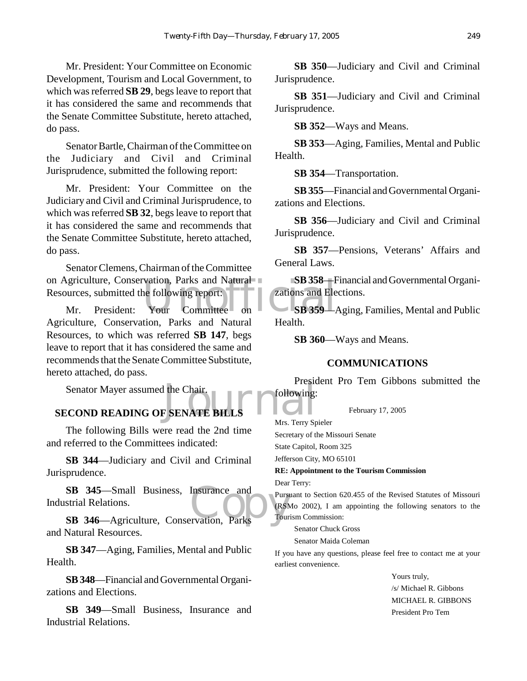Mr. President: Your Committee on Economic Development, Tourism and Local Government, to which was referred **SB 29**, begs leave to report that it has considered the same and recommends that the Senate Committee Substitute, hereto attached, do pass.

Senator Bartle, Chairman of the Committee on the Judiciary and Civil and Criminal Jurisprudence, submitted the following report:

Mr. President: Your Committee on the Judiciary and Civil and Criminal Jurisprudence, to which was referred **SB 32**, begs leave to report that it has considered the same and recommends that the Senate Committee Substitute, hereto attached, do pass.

SB 358—H<br>
urces, submitted the following report:<br>
Mr. President: Your Committee on SB 359—1 Senator Clemens, Chairman of the Committee on Agriculture, Conservation, Parks and Natural Resources, submitted the following report:

Agriculture, Conservation, Parks and Natural Resources, to which was referred **SB 147**, begs leave to report that it has considered the same and recommends that the Senate Committee Substitute, hereto attached, do pass.

Senator Mayer assumed the Chair.

# Trest **SECOND READING OF SENATE BILLS**

The following Bills were read the 2nd time and referred to the Committees indicated:

**SB 344**—Judiciary and Civil and Criminal Jurisprudence.

SB 345—Small Business, Insurance and Purst<br>
SB 346—Agriculture, Conservation, Parks **SB 345**—Small Business, Insurance and Industrial Relations.

and Natural Resources.

**SB 347**—Aging, Families, Mental and Public Health.

**SB 348**—Financial and Governmental Organizations and Elections.

**SB 349**—Small Business, Insurance and Industrial Relations.

**SB 350**—Judiciary and Civil and Criminal Jurisprudence.

**SB 351**—Judiciary and Civil and Criminal Jurisprudence.

**SB 352**—Ways and Means.

**SB 353**—Aging, Families, Mental and Public Health.

**SB 354**—Transportation.

**SB 355**—Financial and Governmental Organizations and Elections.

**SB 356**—Judiciary and Civil and Criminal Jurisprudence.

**SB 357**—Pensions, Veterans' Affairs and General Laws.

**SB 358**—Financial and Governmental Organizations and Elections.

**SB 359**—Aging, Families, Mental and Public Health.

**SB 360**—Ways and Means.

#### **COMMUNICATIONS**

President Pro Tem Gibbons submitted the following:

February 17, 2005

Mrs. Terry Spieler Secretary of the Missouri Senate

State Capitol, Room 325

Jefferson City, MO 65101

**RE: Appointment to the Tourism Commission**

Dear Terry:

Pursuant to Section 620.455 of the Revised Statutes of Missouri (RSMo 2002), I am appointing the following senators to the Tourism Commission:

Senator Chuck Gross

Senator Maida Coleman

If you have any questions, please feel free to contact me at your earliest convenience.

> Yours truly, /s/ Michael R. Gibbons MICHAEL R. GIBBONS President Pro Tem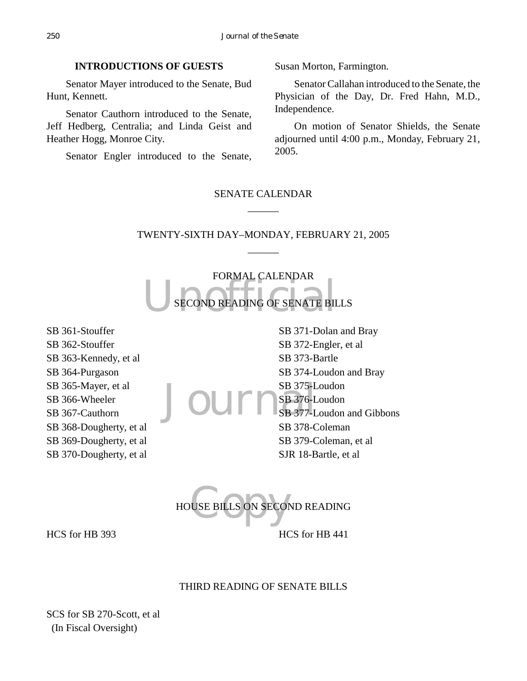# **INTRODUCTIONS OF GUESTS**

Senator Mayer introduced to the Senate, Bud Hunt, Kennett.

Senator Cauthorn introduced to the Senate, Jeff Hedberg, Centralia; and Linda Geist and Heather Hogg, Monroe City.

Senator Engler introduced to the Senate,

Susan Morton, Farmington.

Senator Callahan introduced to the Senate, the Physician of the Day, Dr. Fred Hahn, M.D., Independence.

On motion of Senator Shields, the Senate adjourned until 4:00 p.m., Monday, February 21, 2005.

# SENATE CALENDAR  $\overline{\phantom{a}}$

# TWENTY-SIXTH DAY–MONDAY, FEBRUARY 21, 2005  $\overline{\phantom{a}}$

SECOND READING OF SENATE BI FORMAL CALENDAR SECOND READING OF SENATE BILLS

SB 361-Stouffer SB 362-Stouffer SB 363-Kennedy, et al SB 364-Purgason SB 365-Mayer, et al SB 366-Wheeler SB 367-Cauthorn SB 368-Dougherty, et al SB 369-Dougherty, et al SB 370-Dougherty, et al SB 375-Loudon<br>
SB 376-Loudon<br>
SB 377-Loudon SB 371-Dolan and Bray SB 372-Engler, et al SB 373-Bartle SB 374-Loudon and Bray SB 376-Loudon SB 377-Loudon and Gibbons SB 378-Coleman SB 379-Coleman, et al SJR 18-Bartle, et al

USE BILLS ON SECON HOUSE BILLS ON SECOND READING HCS for HB 393 HCS for HB 441

## THIRD READING OF SENATE BILLS

SCS for SB 270-Scott, et al (In Fiscal Oversight)